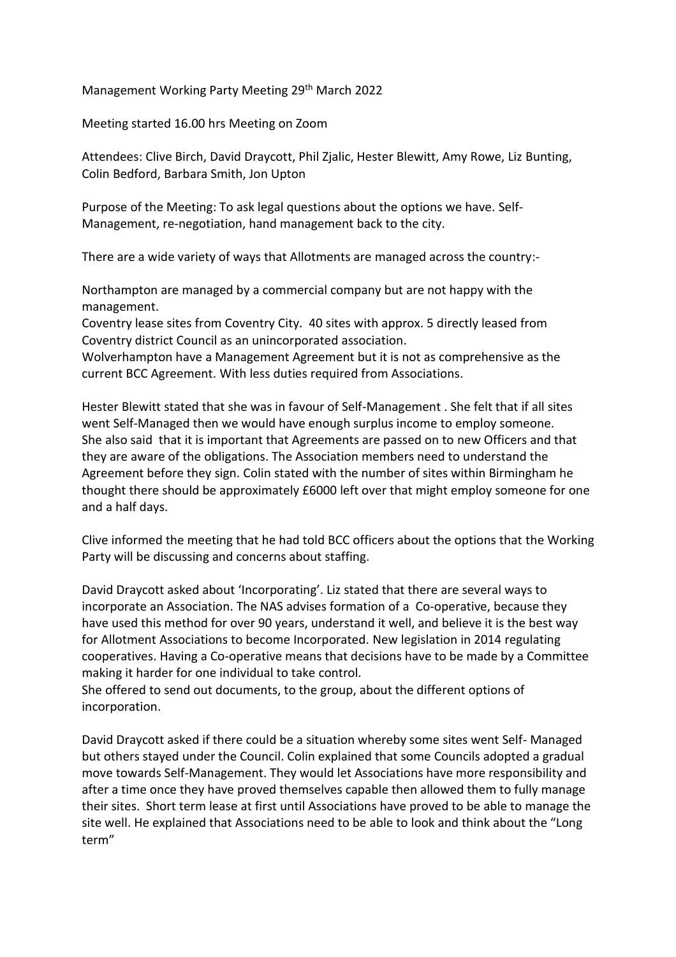Management Working Party Meeting 29<sup>th</sup> March 2022

Meeting started 16.00 hrs Meeting on Zoom

Attendees: Clive Birch, David Draycott, Phil Zjalic, Hester Blewitt, Amy Rowe, Liz Bunting, Colin Bedford, Barbara Smith, Jon Upton

Purpose of the Meeting: To ask legal questions about the options we have. Self-Management, re-negotiation, hand management back to the city.

There are a wide variety of ways that Allotments are managed across the country:-

Northampton are managed by a commercial company but are not happy with the management.

Coventry lease sites from Coventry City. 40 sites with approx. 5 directly leased from Coventry district Council as an unincorporated association.

Wolverhampton have a Management Agreement but it is not as comprehensive as the current BCC Agreement. With less duties required from Associations.

Hester Blewitt stated that she was in favour of Self-Management . She felt that if all sites went Self-Managed then we would have enough surplus income to employ someone. She also said that it is important that Agreements are passed on to new Officers and that they are aware of the obligations. The Association members need to understand the Agreement before they sign. Colin stated with the number of sites within Birmingham he thought there should be approximately £6000 left over that might employ someone for one and a half days.

Clive informed the meeting that he had told BCC officers about the options that the Working Party will be discussing and concerns about staffing.

David Draycott asked about 'Incorporating'. Liz stated that there are several ways to incorporate an Association. The NAS advises formation of a Co-operative, because they have used this method for over 90 years, understand it well, and believe it is the best way for Allotment Associations to become Incorporated. New legislation in 2014 regulating cooperatives. Having a Co-operative means that decisions have to be made by a Committee making it harder for one individual to take control.

She offered to send out documents, to the group, about the different options of incorporation.

David Draycott asked if there could be a situation whereby some sites went Self- Managed but others stayed under the Council. Colin explained that some Councils adopted a gradual move towards Self-Management. They would let Associations have more responsibility and after a time once they have proved themselves capable then allowed them to fully manage their sites. Short term lease at first until Associations have proved to be able to manage the site well. He explained that Associations need to be able to look and think about the "Long term"